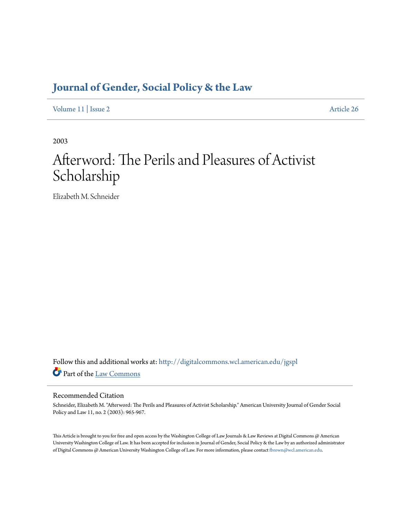# **[Journal of Gender, Social Policy & the Law](http://digitalcommons.wcl.american.edu/jgspl?utm_source=digitalcommons.wcl.american.edu%2Fjgspl%2Fvol11%2Fiss2%2F26&utm_medium=PDF&utm_campaign=PDFCoverPages)**

[Volume 11](http://digitalcommons.wcl.american.edu/jgspl/vol11?utm_source=digitalcommons.wcl.american.edu%2Fjgspl%2Fvol11%2Fiss2%2F26&utm_medium=PDF&utm_campaign=PDFCoverPages) | [Issue 2](http://digitalcommons.wcl.american.edu/jgspl/vol11/iss2?utm_source=digitalcommons.wcl.american.edu%2Fjgspl%2Fvol11%2Fiss2%2F26&utm_medium=PDF&utm_campaign=PDFCoverPages) [Article 26](http://digitalcommons.wcl.american.edu/jgspl/vol11/iss2/26?utm_source=digitalcommons.wcl.american.edu%2Fjgspl%2Fvol11%2Fiss2%2F26&utm_medium=PDF&utm_campaign=PDFCoverPages)

2003

# Afterword: The Perils and Pleasures of Activist Scholarship

Elizabeth M. Schneider

Follow this and additional works at: [http://digitalcommons.wcl.american.edu/jgspl](http://digitalcommons.wcl.american.edu/jgspl?utm_source=digitalcommons.wcl.american.edu%2Fjgspl%2Fvol11%2Fiss2%2F26&utm_medium=PDF&utm_campaign=PDFCoverPages) Part of the [Law Commons](http://network.bepress.com/hgg/discipline/578?utm_source=digitalcommons.wcl.american.edu%2Fjgspl%2Fvol11%2Fiss2%2F26&utm_medium=PDF&utm_campaign=PDFCoverPages)

### Recommended Citation

Schneider, Elizabeth M. "Afterword: The Perils and Pleasures of Activist Scholarship." American University Journal of Gender Social Policy and Law 11, no. 2 (2003): 965-967.

This Article is brought to you for free and open access by the Washington College of Law Journals & Law Reviews at Digital Commons @ American University Washington College of Law. It has been accepted for inclusion in Journal of Gender, Social Policy & the Law by an authorized administrator of Digital Commons @ American University Washington College of Law. For more information, please contact [fbrown@wcl.american.edu.](mailto:fbrown@wcl.american.edu)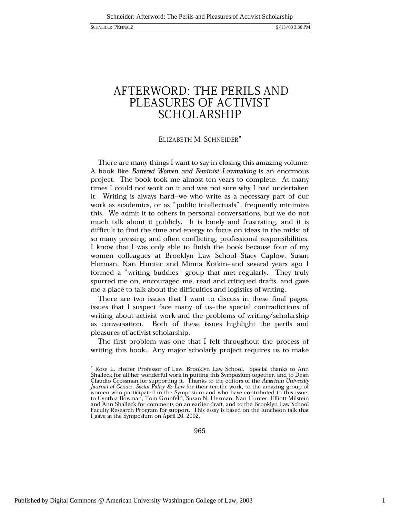## AFTERWORD: THE PERILS AND PLEASURES OF ACTIVIST **SCHOLARSHIP**

### ELIZABETH M. SCHNEIDER\*

There are many things I want to say in closing this amazing volume. A book like Battered Women and Feminist Lawmaking is an enormous project. The book took me almost ten years to complete. At many times I could not work on it and was not sure why I had undertaken it. Writing is always hard-we who write as a necessary part of our work as academics, or as "public intellectuals", frequently minimize this. We admit it to others in personal conversations, but we do not much talk about it publicly. It is lonely and frustrating, and it is difficult to find the time and energy to focus on ideas in the midst of so many pressing, and often conflicting, professional responsibilities. I know that I was only able to finish the book because four of my women colleagues at Brooklyn Law School-Stacy Caplow, Susan Herman, Nan Hunter and Minna Kotkin-and several years ago I formed a "writing buddies" group that met regularly. They truly spurred me on, encouraged me, read and critiqued drafts, and gave me a place to talk about the difficulties and logistics of writing.

There are two issues that I want to discuss in these final pages, issues that I suspect face many of us-the special contradictions of writing about activist work and the problems of writing/scholarship as conversation. Both of these issues highlight the perils and pleasures of activist scholarship.

The first problem was one that I felt throughout the process of writing this book. Any major scholarly project requires us to make

Rose L. Hoffer Professor of Law, Brooklyn Law School. Special thanks to Ann Shalleck for all her wonderful work in putting this Symposium together, and to Dean Claudio Grossman for supporting it. Thanks to the editors of the American University Journal of Gender, Social Policy & Law for their terrific work, to the amazing group of women who participated in the Symposium and who have contributed to this issue, to Cynthia Bowman, Tom Grunfeld, Susan N. Herman, Nan Hunter, Elliott Milstein and Ann Shalleck for comments on an earlier draft, and to the Brooklyn Law School Faculty Research Program for support. This essay is based on the luncheon talk that I gave at the Symposium on April 20, 2002.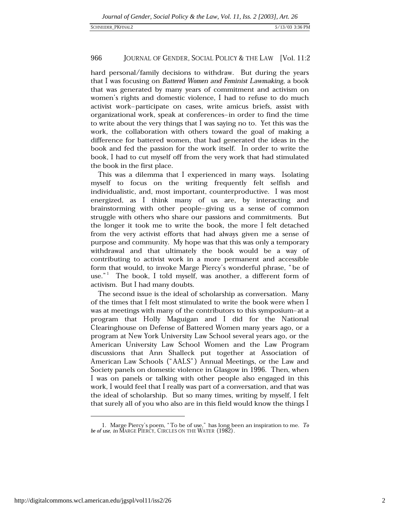#### 966 JOURNAL OF GENDER, SOCIAL POLICY & THE LAW [Vol. 11:2

hard personal/family decisions to withdraw. But during the years that I was focusing on Battered Women and Feminist Lawmaking, a book that was generated by many years of commitment and activism on women's rights and domestic violence, I had to refuse to do much activist work-participate on cases, write amicus briefs, assist with organizational work, speak at conferences-in order to find the time to write about the very things that I was saying no to. Yet this was the work, the collaboration with others toward the goal of making a difference for battered women, that had generated the ideas in the book and fed the passion for the work itself. In order to write the book, I had to cut myself off from the very work that had stimulated the book in the first place.

This was a dilemma that I experienced in many ways. Isolating myself to focus on the writing frequently felt selfish and individualistic, and, most important, counterproductive. I was most energized, as I think many of us are, by interacting and brainstorming with other people-giving us a sense of common struggle with others who share our passions and commitments. But the longer it took me to write the book, the more I felt detached from the very activist efforts that had always given me a sense of purpose and community. My hope was that this was only a temporary withdrawal and that ultimately the book would be a way of contributing to activist work in a more permanent and accessible form that would, to invoke Marge Piercy's wonderful phrase, "be of use."<sup>1</sup> The book, I told myself, was another, a different form of activism. But I had many doubts.

The second issue is the ideal of scholarship as conversation. Many of the times that I felt most stimulated to write the book were when I was at meetings with many of the contributors to this symposium-at a program that Holly Maguigan and I did for the National Clearinghouse on Defense of Battered Women many years ago, or a program at New York University Law School several years ago, or the American University Law School Women and the Law Program discussions that Ann Shalleck put together at Association of American Law Schools ("AALS") Annual Meetings, or the Law and Society panels on domestic violence in Glasgow in 1996. Then, when I was on panels or talking with other people also engaged in this work, I would feel that I really was part of a conversation, and that was the ideal of scholarship. But so many times, writing by myself, I felt that surely all of you who also are in this field would know the things I

<sup>1.</sup> Marge Piercy's poem, "To be of use," has long been an inspiration to me. To be of use, in MARGE PIERCY, CIRCLES ON THE WATER (1982).